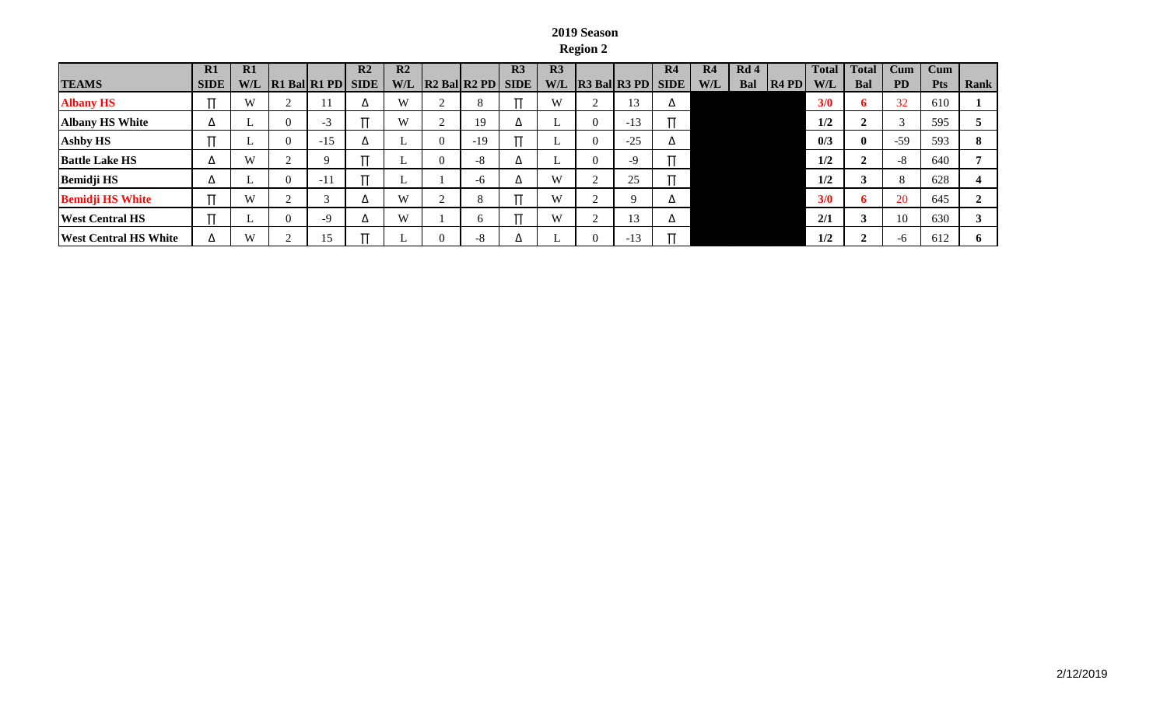## **2019 Season Region 2**

|                              | $\mathbf{R}1$ | $\mathbf{R}1$ |   |                                               | R <sub>2</sub> | R <sub>2</sub> |                                                                                   | R <sub>3</sub> | R <sub>3</sub> |                        | R4 | R <sub>4</sub> | Rd4        |         | <b>Total</b> | <b>Total</b> | $_{\rm Cum}$ | Cum        |      |
|------------------------------|---------------|---------------|---|-----------------------------------------------|----------------|----------------|-----------------------------------------------------------------------------------|----------------|----------------|------------------------|----|----------------|------------|---------|--------------|--------------|--------------|------------|------|
| <b>TEAMS</b>                 | <b>SIDE</b>   | W/L           |   | $\left $ R1 Bal $\left $ R1 PD $\right $ SIDE |                | <b>W/L</b>     | $\left $ R <sub>2</sub> Bal $\left $ R <sub>2</sub> P <sub>D</sub> $\right $ SIDE |                | W/L            | $ R3$ Bal $R3$ PD SIDE |    | W/L            | <b>Bal</b> | $R4$ PD | W/L          | Bal          | <b>PD</b>    | <b>Pts</b> | Rank |
| <b>Albany HS</b>             |               | W             |   |                                               |                | W              |                                                                                   |                | W              | 13                     |    |                |            |         | 3/0          | 6            | 32           | 610        |      |
| <b>Albany HS White</b>       | Δ             |               |   | -3                                            |                | W              | 19                                                                                |                |                | -13                    |    |                |            |         | 1/2          |              |              | 595        |      |
| <b>Ashby HS</b>              |               |               | v | $-15$                                         |                |                | $-19$                                                                             |                |                | $-25$                  |    |                |            |         | 0/3          | $\mathbf{0}$ | $-59$        | 593        | 8    |
| <b>Battle Lake HS</b>        | Δ             | W             |   | $\Omega$                                      |                |                | $\circ$<br>-8                                                                     | ▵              |                | $-9$                   |    |                |            |         | 1/2          |              | -8           | 640        |      |
| <b>Bemidji HS</b>            | Δ             |               | v | $-11$                                         |                |                | -6                                                                                |                | W              | 25                     |    |                |            |         | 1/2          | J            |              | 628        |      |
| <b>Bemidji HS White</b>      |               | W             |   |                                               |                | W              |                                                                                   |                | W              |                        |    |                |            |         | 3/0          | 6            | <b>20</b>    | 645        |      |
| <b>West Central HS</b>       |               |               |   | -9                                            |                | W              | h.                                                                                |                | W              | 13                     |    |                |            |         | 2/1          |              | 10           | 630        |      |
| <b>West Central HS White</b> | Δ             | W             |   |                                               |                |                | -8                                                                                |                |                | -12                    |    |                |            |         | 1/2          |              | -0           | 612        | 6    |